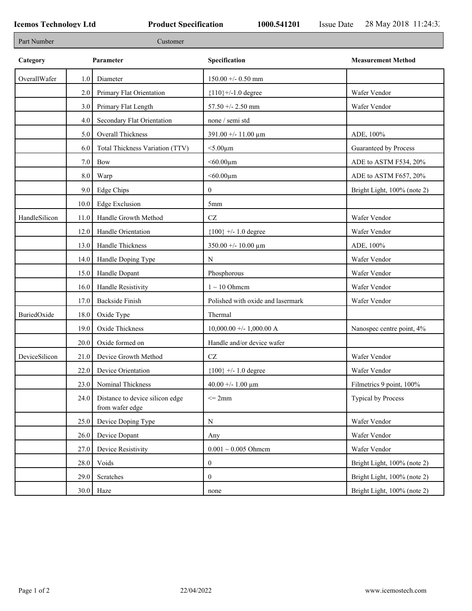٦

| Part Number   |      | Customer                                           |                                   |                             |
|---------------|------|----------------------------------------------------|-----------------------------------|-----------------------------|
| Category      |      | Parameter                                          | Specification                     | <b>Measurement Method</b>   |
| OverallWafer  | 1.0  | Diameter                                           | $150.00 + - 0.50$ mm              |                             |
|               | 2.0  | Primary Flat Orientation                           | ${110}$ +/-1.0 degree             | Wafer Vendor                |
|               | 3.0  | Primary Flat Length                                | $57.50 + - 2.50$ mm               | Wafer Vendor                |
|               | 4.0  | Secondary Flat Orientation                         | none / semi std                   |                             |
|               | 5.0  | Overall Thickness                                  | $391.00 + - 11.00 \mu m$          | ADE, 100%                   |
|               | 6.0  | Total Thickness Variation (TTV)                    | $<$ 5.00 $\mu$ m                  | Guaranteed by Process       |
|               | 7.0  | Bow                                                | $< 60.00 \mu m$                   | ADE to ASTM F534, 20%       |
|               | 8.0  | Warp                                               | $<$ 60.00 $\mu$ m                 | ADE to ASTM F657, 20%       |
|               | 9.0  | Edge Chips                                         | $\mathbf{0}$                      | Bright Light, 100% (note 2) |
|               | 10.0 | <b>Edge Exclusion</b>                              | 5mm                               |                             |
| HandleSilicon | 11.0 | Handle Growth Method                               | $\operatorname{CZ}$               | Wafer Vendor                |
|               | 12.0 | Handle Orientation                                 | ${100}$ +/- 1.0 degree            | Wafer Vendor                |
|               | 13.0 | Handle Thickness                                   | $350.00 + - 10.00 \mu m$          | ADE, 100%                   |
|               | 14.0 | Handle Doping Type                                 | $\mathbf N$                       | Wafer Vendor                |
|               | 15.0 | Handle Dopant                                      | Phosphorous                       | Wafer Vendor                |
|               | 16.0 | Handle Resistivity                                 | $1 \sim 10$ Ohmem                 | Wafer Vendor                |
|               | 17.0 | <b>Backside Finish</b>                             | Polished with oxide and lasermark | Wafer Vendor                |
| BuriedOxide   | 18.0 | Oxide Type                                         | Thermal                           |                             |
|               | 19.0 | Oxide Thickness                                    | $10,000.00 +/- 1,000.00 A$        | Nanospec centre point, 4%   |
|               | 20.0 | Oxide formed on                                    | Handle and/or device wafer        |                             |
| DeviceSilicon | 21.0 | Device Growth Method                               | CZ                                | Wafer Vendor                |
|               | 22.0 | Device Orientation                                 | ${100}$ +/- 1.0 degree            | Wafer Vendor                |
|               | 23.0 | Nominal Thickness                                  | $40.00 + - 1.00 \mu m$            | Filmetrics 9 point, 100%    |
|               | 24.0 | Distance to device silicon edge<br>from wafer edge | $\leq$ 2mm                        | Typical by Process          |
|               | 25.0 | Device Doping Type                                 | ${\bf N}$                         | Wafer Vendor                |
|               | 26.0 | Device Dopant                                      | Any                               | Wafer Vendor                |
|               | 27.0 | Device Resistivity                                 | $0.001 \sim 0.005$ Ohmem          | Wafer Vendor                |
|               | 28.0 | Voids                                              | $\boldsymbol{0}$                  | Bright Light, 100% (note 2) |
|               | 29.0 | Scratches                                          | $\mathbf{0}$                      | Bright Light, 100% (note 2) |
|               |      | $30.0$ Haze                                        | none                              | Bright Light, 100% (note 2) |